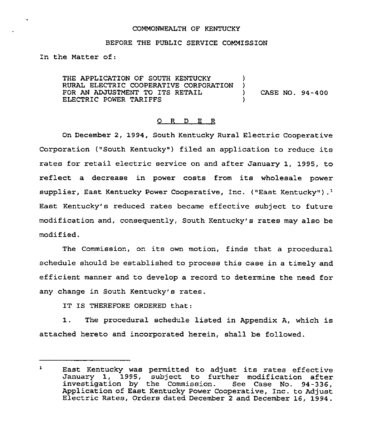### COMMONWEALTH OF KENTUCKY

#### BEFORE THE PUBLIC SERVICE COMMISSION

In the Matter of:

THE APPLICATION OF SOUTH KENTUCKY )<br>RURAL ELECTRIC COOPERATIVE CORPORATION ) RURAL ELECTRIC COOPERATIVE CORPORATION )<br>FOR AN ADJUSTMENT TO ITS RETAIL () FOR AN ADJUSTMENT TO ITS RETAIL  $(1, 94 - 400)$ <br>ELECTRIC POWER TARIFFS ELECTRIC POWER TARIFFS )

#### 0 R <sup>D</sup> E R

On December 2, 1994, South Kentucky Rural Electric Cooperative Corporation ("South Kentucky") filed an application to reduce its rates for retail electric service on and after January 1, 1995, to reflect a decrease in power costs from its wholesale power supplier, East Kentucky Power Cooperative, Inc. ("East Kentucky").<sup>1</sup> East Kentucky's reduced rates became effective subject to future modification and, consequently, South Kentucky's rates may also be modi fied.

The Commission, on its own motion, finde that a procedural schedule should be established to process this case in a timely and efficient manner and to develop a record to determine the need for any change in South Kentucky's rates.

IT IS THEREFORE ORDERED that:

1. The procedural schedule listed in Appendix A, which is attached hereto and incorporated herein, shall be followed.

 $\mathbf{1}$ East Kentucky was permitted to adjust its rates effective January 1, 1995, subject to further modification after<br>investigation by the Commission. See Case No. 94-336,<br>Application of East Kentucky Power Cooperative, Inc. to Adjust Electric Rates, Orders dated December 2 and December 16, 1994.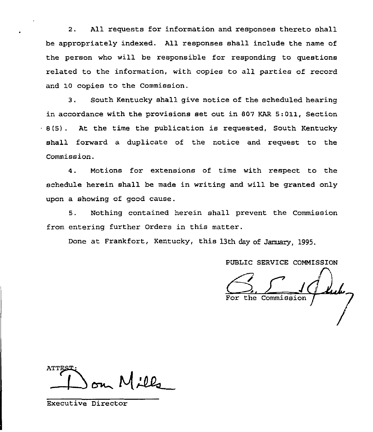2. All requests for information and responses thereto shall be appropriately indexed. All responses shall include the name of the person who will be responsible for responding to questions related to the information, with copies to all parties of record and 10 copies to the Commission.

3. South Kentucky shall give notice of the scheduled hearing in accordance with the provisions set out in 807 KAR 5:011, Section  $-8(5)$ . At the time the publication is requested, South Kentucky shall forward a duplicate of the notice and request to the Commission.

4. Notions for extensions of time with respect to the schedule herein shall be made in writing and will be granted only upon a showing of good cause.

5. Nothing contained herein shall prevent the Commission from entering further Orders in this matter.

Done at Frankfort, Kentucky, this 13th day of January, 1995.

PUBLIC SERVICE COMMISSION

the Commission

Executive Director